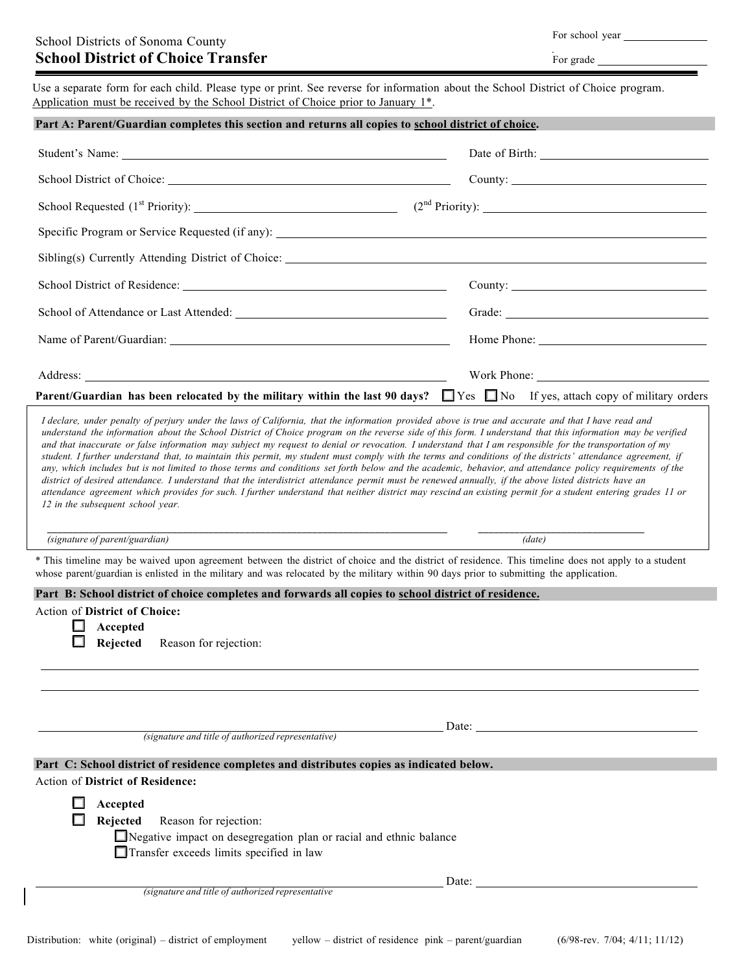|  | For school year |  |
|--|-----------------|--|
|--|-----------------|--|

| For grade |
|-----------|
|           |

Use a separate form for each child. Please type or print. See reverse for information about the School District of Choice program. Application must be received by the School District of Choice prior to January 1\*.

| Part A: Parent/Guardian completes this section and returns all copies to school district of choice. |  |  |
|-----------------------------------------------------------------------------------------------------|--|--|
|                                                                                                     |  |  |

|                                                                                                                                                | Home Phone: New York Changes and Security Phone Security 2014 |
|------------------------------------------------------------------------------------------------------------------------------------------------|---------------------------------------------------------------|
|                                                                                                                                                | Work Phone:                                                   |
| <b>Parent/Guardian has been relocated by the military within the last 90 days?</b> $\Box$ Yes $\Box$ No If yes, attach copy of military orders |                                                               |

I declare, under penalty of perjury under the laws of California, that the information provided above is true and accurate and that I have read and understand the information about the School District of Choice program on the reverse side of this form. I understand that this information may be verified and that inaccurate or false information may subject my request to denial or revocation. I understand that I am responsible for the transportation of my student. I further understand that, to maintain this permit, my student must comply with the terms and conditions of the districts' attendance agreement, if any, which includes but is not limited to those terms and conditions set forth below and the academic, behavior, and attendance policy requirements of the district of desired attendance. I understand that the interdistrict attendance permit must be renewed annually, if the above listed districts have an attendance agreement which provides for such. I further understand that neither district may rescind an existing permit for a student entering grades 11 or *12 in the subsequent school year.*

\_\_\_\_\_\_\_\_\_\_\_\_\_\_\_\_\_\_\_\_\_\_\_\_\_\_\_\_\_\_\_\_\_\_\_\_\_\_\_\_\_\_\_\_\_\_\_\_\_\_\_\_\_\_\_\_\_\_\_\_\_\_\_\_\_\_\_\_\_\_\_\_\_\_\_\_\_ \_\_\_\_\_\_\_\_\_\_\_\_\_\_\_\_\_\_\_\_\_\_\_\_\_\_\_\_\_\_\_\_ *(signature of parent/guardian) (date)*

\* This timeline may be waived upon agreement between the district of choice and the district of residence. This timeline does not apply to a student whose parent/guardian is enlisted in the military and was relocated by the military within 90 days prior to submitting the application.

#### **Part B: School district of choice completes and forwards all copies to school district of residence.**

Action of **District of Choice:**

**Accepted**

**Rejected** Reason for rejection:

Date: *(signature and title of authorized representative)*

# **Part C: School district of residence completes and distributes copies as indicated below.**

# Action of **District of Residence:**

| Accepted |                                                                    |
|----------|--------------------------------------------------------------------|
|          | <b>Rejected</b> Reason for rejection:                              |
|          | Negative impact on desegregation plan or racial and ethnic balance |
|          | Transfer exceeds limits specified in law                           |
|          | Date:                                                              |
|          | (signature and title of authorized representative)                 |